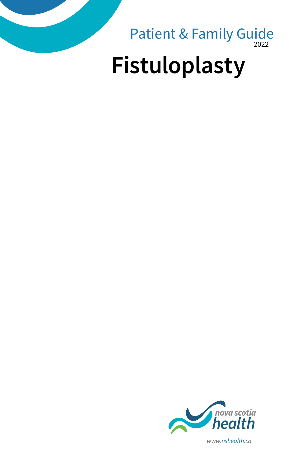



*www.nshealth.ca*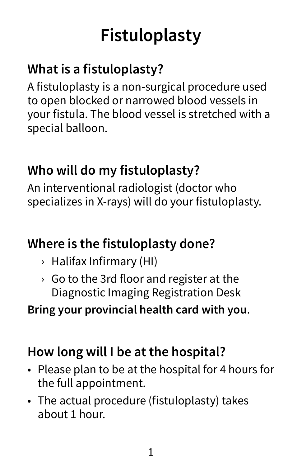# **Fistuloplasty**

## **What is a fistuloplasty?**

A fistuloplasty is a non-surgical procedure used to open blocked or narrowed blood vessels in your fistula. The blood vessel is stretched with a special balloon.

## **Who will do my fistuloplasty?**

An interventional radiologist (doctor who specializes in X-rays) will do your fistuloplasty.

## **Where is the fistuloplasty done?**

- › Halifax Infirmary (HI)
- › Go to the 3rd floor and register at the Diagnostic Imaging Registration Desk

#### **Bring your provincial health card with you**.

## **How long will I be at the hospital?**

- Please plan to be at the hospital for 4 hours for the full appointment.
- The actual procedure (fistuloplasty) takes about 1 hour.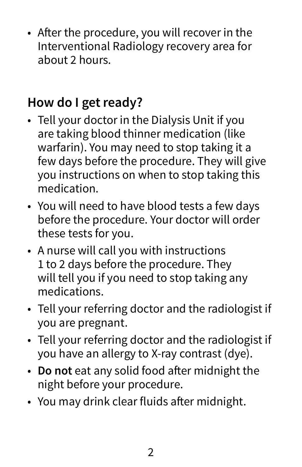• After the procedure, you will recover in the Interventional Radiology recovery area for about 2 hours.

## **How do I get ready?**

- Tell your doctor in the Dialysis Unit if you are taking blood thinner medication (like warfarin). You may need to stop taking it a few days before the procedure. They will give you instructions on when to stop taking this medication.
- You will need to have blood tests a few days before the procedure. Your doctor will order these tests for you.
- A nurse will call you with instructions 1 to 2 days before the procedure. They will tell you if you need to stop taking any medications.
- Tell your referring doctor and the radiologist if you are pregnant.
- Tell your referring doctor and the radiologist if you have an allergy to X-ray contrast (dye).
- **Do not** eat any solid food after midnight the night before your procedure.
- You may drink clear fluids after midnight.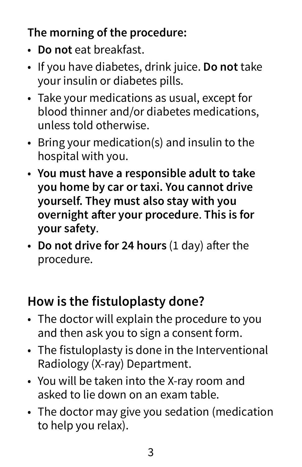#### **The morning of the procedure:**

- **Do not** eat breakfast.
- If you have diabetes, drink juice. **Do not** take your insulin or diabetes pills.
- Take your medications as usual, except for blood thinner and/or diabetes medications, unless told otherwise.
- Bring your medication(s) and insulin to the hospital with you.
- **You must have a responsible adult to take you home by car or taxi. You cannot drive yourself. They must also stay with you overnight after your procedure**. **This is for your safety**.
- **Do not drive for 24 hours** (1 day) after the procedure.

## **How is the fistuloplasty done?**

- The doctor will explain the procedure to you and then ask you to sign a consent form.
- The fistuloplasty is done in the Interventional Radiology (X-ray) Department.
- You will be taken into the X-ray room and asked to lie down on an exam table.
- The doctor may give you sedation (medication to help you relax).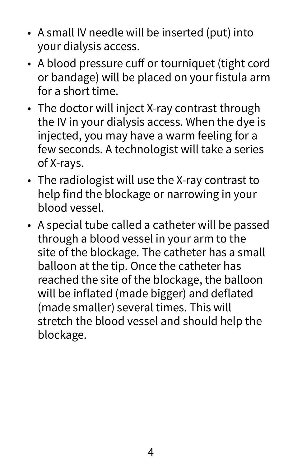- A small IV needle will be inserted (put) into your dialysis access.
- A blood pressure cuff or tourniquet (tight cord or bandage) will be placed on your fistula arm for a short time.
- The doctor will inject X-ray contrast through the IV in your dialysis access. When the dye is injected, you may have a warm feeling for a few seconds. A technologist will take a series of X-rays.
- The radiologist will use the X-ray contrast to help find the blockage or narrowing in your blood vessel.
- A special tube called a catheter will be passed through a blood vessel in your arm to the site of the blockage. The catheter has a small balloon at the tip. Once the catheter has reached the site of the blockage, the balloon will be inflated (made bigger) and deflated (made smaller) several times. This will stretch the blood vessel and should help the blockage.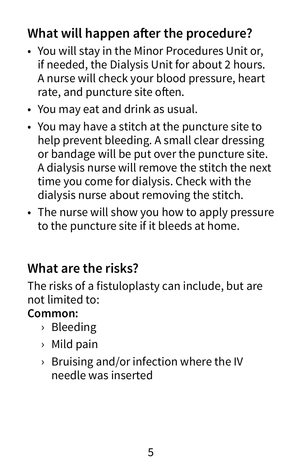## **What will happen after the procedure?**

- You will stay in the Minor Procedures Unit or, if needed, the Dialysis Unit for about 2 hours. A nurse will check your blood pressure, heart rate, and puncture site often.
- You may eat and drink as usual.
- You may have a stitch at the puncture site to help prevent bleeding. A small clear dressing or bandage will be put over the puncture site. A dialysis nurse will remove the stitch the next time you come for dialysis. Check with the dialysis nurse about removing the stitch.
- The nurse will show you how to apply pressure to the puncture site if it bleeds at home.

#### **What are the risks?**

The risks of a fistuloplasty can include, but are not limited to:

#### **Common:**

- › Bleeding
- › Mild pain
- $\rightarrow$  Bruising and/or infection where the IV needle was inserted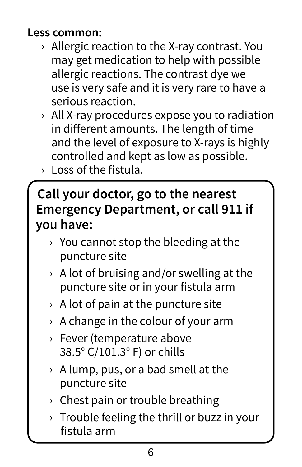#### **Less common:**

- › Allergic reaction to the X-ray contrast. You may get medication to help with possible allergic reactions. The contrast dye we use is very safe and it is very rare to have a serious reaction.
- › All X-ray procedures expose you to radiation in different amounts. The length of time and the level of exposure to X-rays is highly controlled and kept as low as possible.
- › Loss of the fistula.

#### **Call your doctor, go to the nearest Emergency Department, or call 911 if you have:**

- $\rightarrow$  You cannot stop the bleeding at the puncture site
- $\rightarrow$  A lot of bruising and/or swelling at the puncture site or in your fistula arm
- $\rightarrow$  A lot of pain at the puncture site
- $\rightarrow$  A change in the colour of your arm
- › Fever (temperature above 38.5° C/101.3° F) or chills
- › A lump, pus, or a bad smell at the puncture site
- › Chest pain or trouble breathing
- $\rightarrow$  Trouble feeling the thrill or buzz in your fistula arm